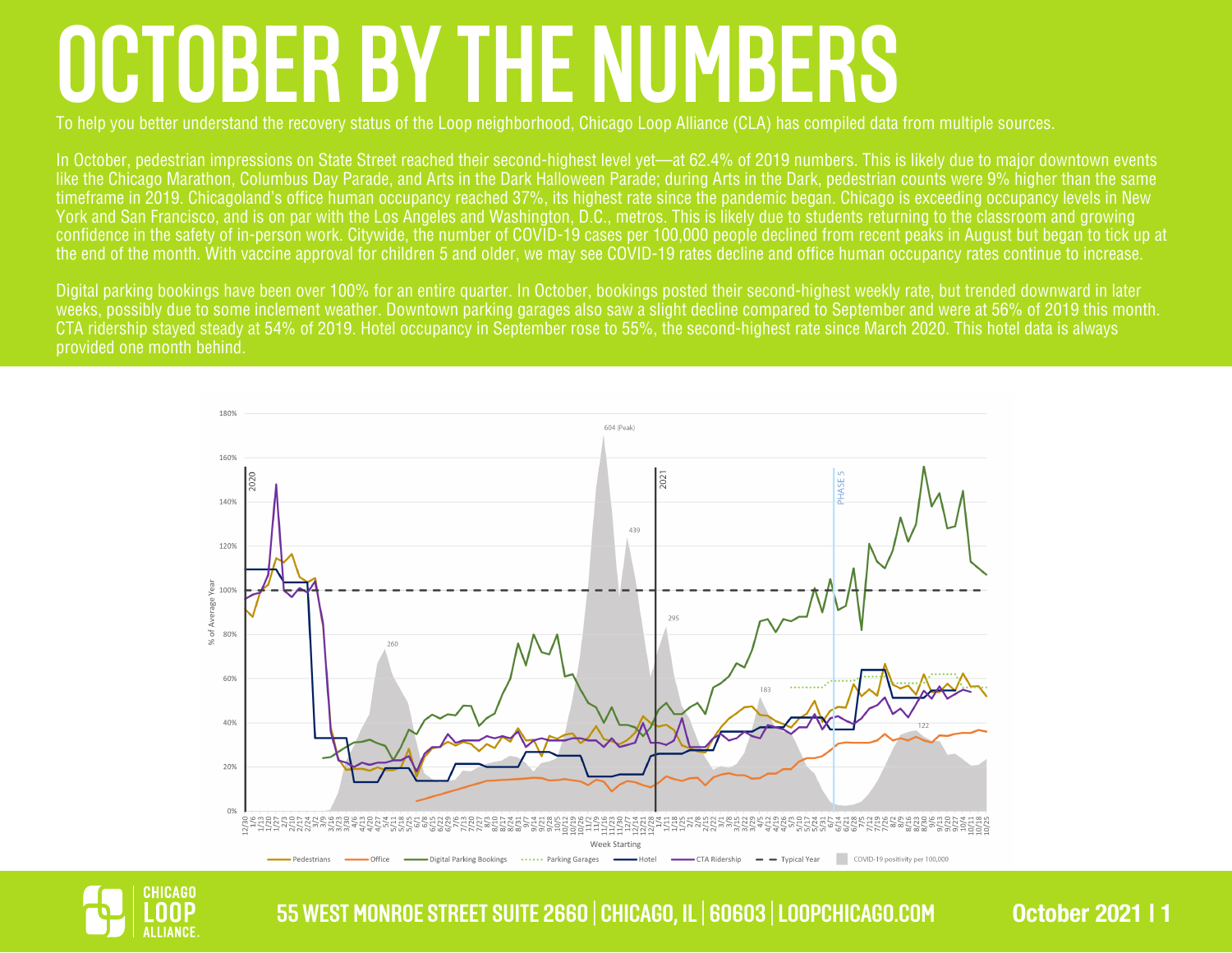## **OCTOBER BY THE NUMBERS**

To help you better understand the recovery status of the Loop neighborhood, Chicago Loop Alliance (CLA) has compiled data from multiple sources.

In October, pedestrian impressions on State Street reached their second-highest level yet—at 62.4% of 2019 numbers. This is likely due to major downtown events like the Chicago Marathon, Columbus Day Parade, and Arts in the Dark Halloween Parade; during Arts in the Dark, pedestrian counts were 9% higher than the same timeframe in 2019. Chicagoland's office human occupancy reached 37%, its highest rate since the pandemic began. Chicago is exceeding occupancy levels in New York and San Francisco, and is on par with the Los Angeles and Washington, D.C., metros. This is likely due to students returning to the classroom and growing confidence in the safety of in-person work. Citywide, the number of COVID-19 cases per 100,000 people declined from recent peaks in August but began to tick up at the end of the month. With vaccine approval for children 5 and older, we may see COVID-19 rates decline and office human occupancy rates continue to increase.

Digital parking bookings have been over 100% for an entire quarter. In October, bookings posted their second-highest weekly rate, but trended downward in later weeks, possibly due to some inclement weather. Downtown parking garages also saw a slight decline compared to September and were at 56% of 2019 this month. CTA ridership stayed steady at 54% of 2019. Hotel occupancy in September rose to 55%, the second-highest rate since March 2020. This hotel data is always provided one month behind.





<u>155 WEST MONROE STREET SUITE 2660 | CHICAGO, IL | 60603 | LOOPCHICAGO.COM | Cotober 2021 | 1</u>